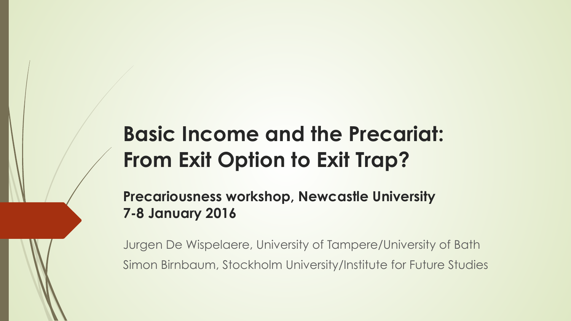### **Basic Income and the Precariat: From Exit Option to Exit Trap?**

**Precariousness workshop, Newcastle University 7-8 January 2016**

Jurgen De Wispelaere, University of Tampere/University of Bath Simon Birnbaum, Stockholm University/Institute for Future Studies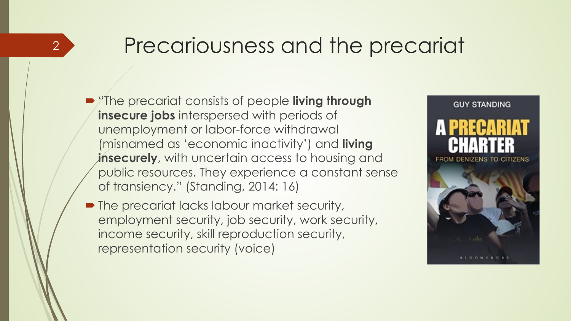#### Precariousness and the precariat

**• The precariat consists of people living through insecure jobs** interspersed with periods of unemployment or labor-force withdrawal (misnamed as 'economic inactivity') and **living insecurely**, with uncertain access to housing and public resources. They experience a constant sense of transiency." (Standing, 2014: 16)

2

• The precariat lacks labour market security, employment security, job security, work security, income security, skill reproduction security, representation security (voice)

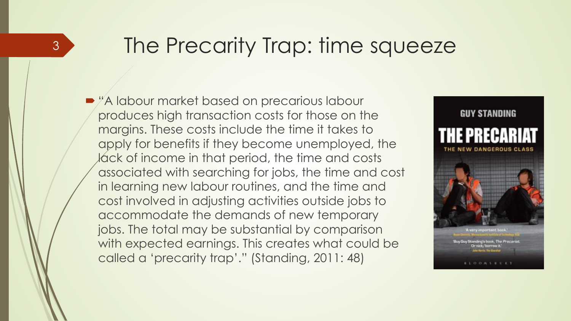#### The Precarity Trap: time squeeze

• "A labour market based on precarious labour produces high transaction costs for those on the margins. These costs include the time it takes to apply for benefits if they become unemployed, the lack of income in that period, the time and costs associated with searching for jobs, the time and cost in learning new labour routines, and the time and cost involved in adjusting activities outside jobs to accommodate the demands of new temporary jobs. The total may be substantial by comparison with expected earnings. This creates what could be called a 'precarity trap'." (Standing, 2011: 48)

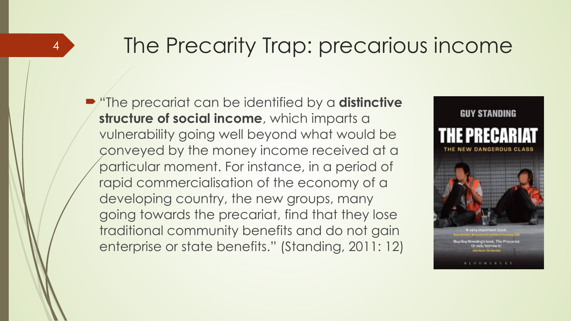#### The Precarity Trap: precarious income

! "The precariat can be identified by a **distinctive structure of social income**, which imparts a vulnerability going well beyond what would be conveyed by the money income received at a particular moment. For instance, in a period of rapid commercialisation of the economy of a developing country, the new groups, many going towards the precariat, find that they lose traditional community benefits and do not gain enterprise or state benefits." (Standing, 2011: 12)

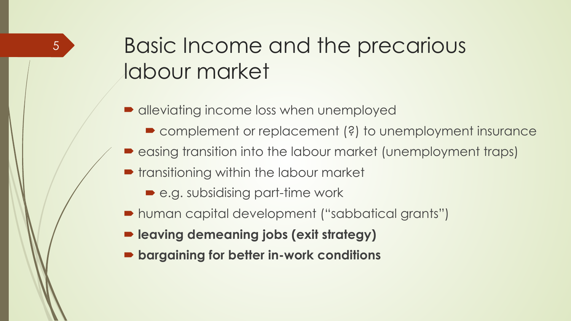## Basic Income and the precarious labour market

- alleviating income loss when unemployed
	- complement or replacement (?) to unemployment insurance
- $\blacktriangleright$  easing transition into the labour market (unemployment traps)
- **transitioning within the labour market** 
	- e.g. subsidising part-time work
- ! human capital development ("sabbatical grants")
- ! **leaving demeaning jobs (exit strategy)**
- ! **bargaining for better in-work conditions**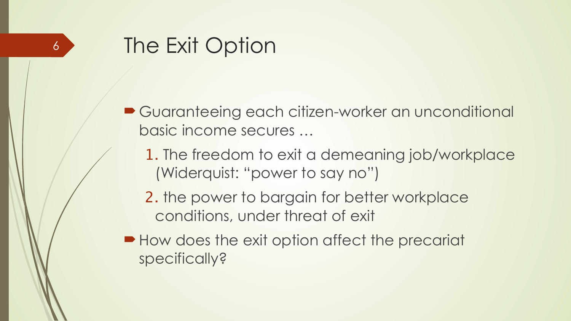- Guaranteeing each citizen-worker an unconditional basic income secures …
	- 1. The freedom to exit a demeaning job/workplace (Widerquist: "power to say no")
	- 2. the power to bargain for better workplace conditions, under threat of exit
- How does the exit option affect the precariat specifically?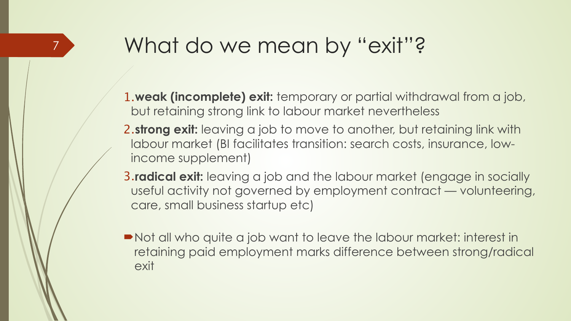## What do we mean by "exit"?

- 1.**weak (incomplete) exit:** temporary or partial withdrawal from a job, but retaining strong link to labour market nevertheless
- 2.**strong exit:** leaving a job to move to another, but retaining link with labour market (BI facilitates transition: search costs, insurance, lowincome supplement)
- 3.**radical exit:** leaving a job and the labour market (engage in socially useful activity not governed by employment contract — volunteering, care, small business startup etc)
- !Not all who quite a job want to leave the labour market: interest in retaining paid employment marks difference between strong/radical exit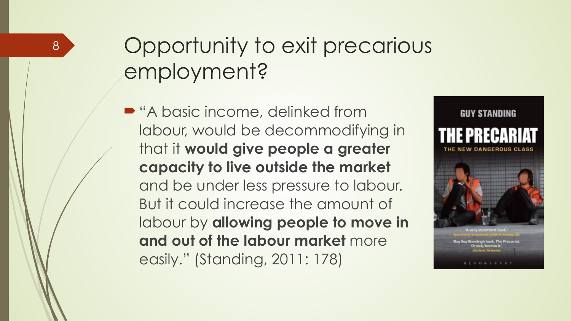# Opportunity to exit precarious employment?

■ "A basic income, delinked from labour, would be decommodifying in that it **would give people a greater capacity to live outside the market**  and be under less pressure to labour. But it could increase the amount of labour by **allowing people to move in and out of the labour market** more easily." (Standing, 2011: 178)

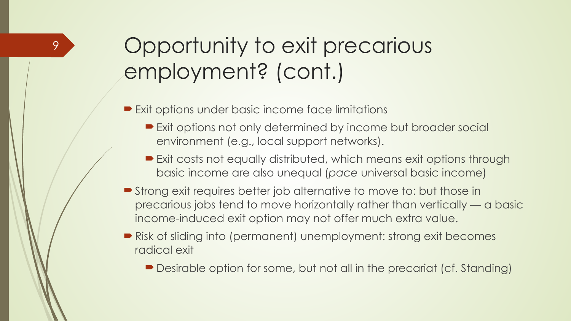# Opportunity to exit precarious employment? (cont.)

**Exit options under basic income face limitations** 

- **Exit options not only determined by income but broader social** environment (e.g., local support networks).
- Exit costs not equally distributed, which means exit options through basic income are also unequal (*pace* universal basic income)
- **Strong exit requires better job alternative to move to: but those in** precarious jobs tend to move horizontally rather than vertically — a basic income-induced exit option may not offer much extra value.
- Risk of sliding into (permanent) unemployment: strong exit becomes radical exit
	- Desirable option for some, but not all in the precariat (cf. Standing)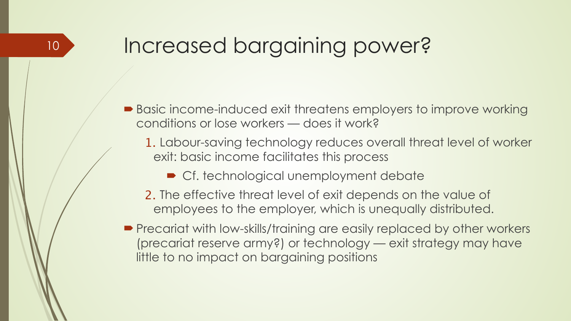## Increased bargaining power?

- Basic income-induced exit threatens employers to improve working conditions or lose workers — does it work?
	- 1. Labour-saving technology reduces overall threat level of worker exit: basic income facilitates this process
		- Cf. technological unemployment debate
	- 2. The effective threat level of exit depends on the value of employees to the employer, which is unequally distributed.
- **Precariat with low-skills/training are easily replaced by other workers** (precariat reserve army?) or technology — exit strategy may have little to no impact on bargaining positions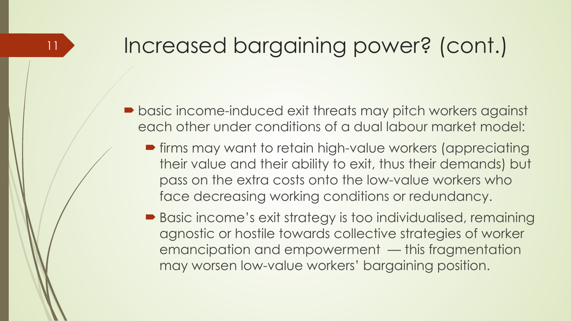## Increased bargaining power? (cont.)

- **basic income-induced exit threats may pitch workers against** each other under conditions of a dual labour market model:
	- **firms may want to retain high-value workers (appreciating** their value and their ability to exit, thus their demands) but pass on the extra costs onto the low-value workers who face decreasing working conditions or redundancy.
	- **Basic income's exit strategy is too individualised, remaining** agnostic or hostile towards collective strategies of worker emancipation and empowerment — this fragmentation may worsen low-value workers' bargaining position.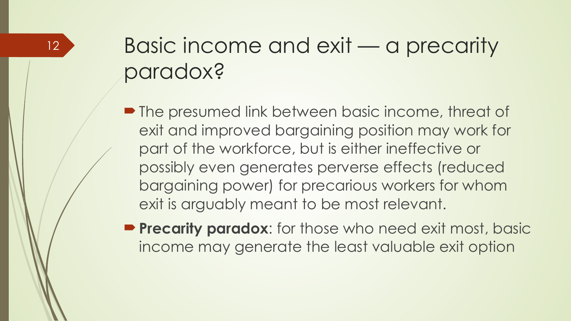# Basic income and exit — a precarity paradox?

- **The presumed link between basic income, threat of** exit and improved bargaining position may work for part of the workforce, but is either ineffective or possibly even generates perverse effects (reduced bargaining power) for precarious workers for whom exit is arguably meant to be most relevant.
- **Precarity paradox:** for those who need exit most, basic income may generate the least valuable exit option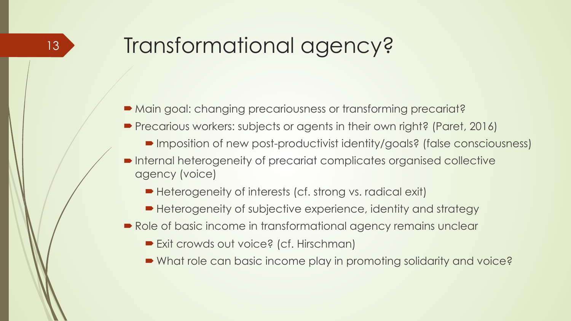# Transformational agency?

- Main goal: changing precariousness or transforming precariat?
- **Precarious workers: subjects or agents in their own right? (Paret, 2016)** 
	- ! Imposition of new post-productivist identity/goals? (false consciousness)
- ! Internal heterogeneity of precariat complicates organised collective agency (voice)
	- ! Heterogeneity of interests (cf. strong vs. radical exit)
	- ! Heterogeneity of subjective experience, identity and strategy
- Role of basic income in transformational agency remains unclear
	- **Exit crowds out voice? (cf. Hirschman)**
	- ! What role can basic income play in promoting solidarity and voice?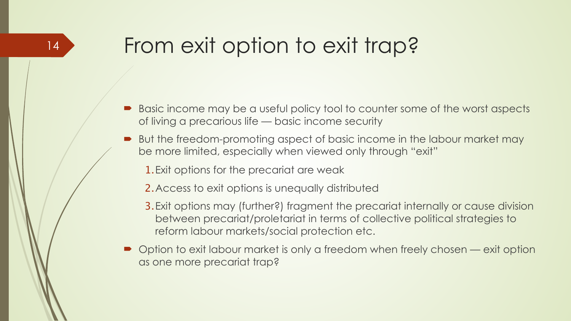# From exit option to exit trap?

- ! Basic income may be a useful policy tool to counter some of the worst aspects of living a precarious life — basic income security
- But the freedom-promoting aspect of basic income in the labour market may be more limited, especially when viewed only through "exit"
	- 1.Exit options for the precariat are weak
	- 2.Access to exit options is unequally distributed
	- 3.Exit options may (further?) fragment the precariat internally or cause division between precariat/proletariat in terms of collective political strategies to reform labour markets/social protection etc.
- Option to exit labour market is only a freedom when freely chosen exit option as one more precariat trap?